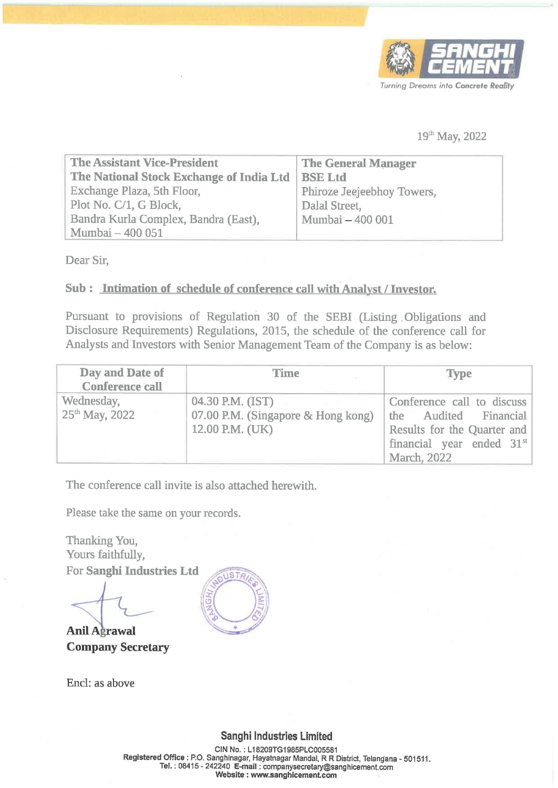

## 19" May, 2022

|                                                                                                                                                                                                                                                                                                                                                                             |             |                                                                                                                 | Turning Dreams into Concrete Real<br>19 <sup>th</sup> May, 2022 |  |
|-----------------------------------------------------------------------------------------------------------------------------------------------------------------------------------------------------------------------------------------------------------------------------------------------------------------------------------------------------------------------------|-------------|-----------------------------------------------------------------------------------------------------------------|-----------------------------------------------------------------|--|
| <b>The Assistant Vice-President</b><br>The National Stock Exchange of India Ltd<br>Exchange Plaza, 5th Floor,<br>Plot No. C/1, G Block,<br>Bandra Kurla Complex, Bandra (East),<br>Mumbai - 400 051<br>Dear Sir,<br>Sub: Intimation of schedule of conference call with Analyst / Investor.<br>Pursuant to provisions of Regulation 30 of the SEBI (Listing Obligations and |             | <b>The General Manager</b><br><b>BSE Ltd</b><br>Phiroze Jeejeebhoy Towers,<br>Dalal Street,<br>Mumbai - 400 001 |                                                                 |  |
| Disclosure Requirements) Regulations, 2015, the schedule of the conference call for<br>Analysts and Investors with Senior Management Team of the Company is as below:                                                                                                                                                                                                       |             |                                                                                                                 |                                                                 |  |
| Day and Date of<br><b>Conference call</b>                                                                                                                                                                                                                                                                                                                                   | <b>Time</b> |                                                                                                                 | <b>Type</b>                                                     |  |

## Sub : Intimation of schedule of conference call with Analyst / Investor.

|                                                                                                                                                                                                                                                                                                                                               |                                                                           |                                                                                                                 | Turning Dreams into Concrete Reality                                                                                                                  |  |  |
|-----------------------------------------------------------------------------------------------------------------------------------------------------------------------------------------------------------------------------------------------------------------------------------------------------------------------------------------------|---------------------------------------------------------------------------|-----------------------------------------------------------------------------------------------------------------|-------------------------------------------------------------------------------------------------------------------------------------------------------|--|--|
|                                                                                                                                                                                                                                                                                                                                               |                                                                           |                                                                                                                 | 19 <sup>th</sup> May, 2022                                                                                                                            |  |  |
| <b>The Assistant Vice-President</b><br>The National Stock Exchange of India Ltd<br>Exchange Plaza, 5th Floor,<br>Plot No. C/1, G Block,<br>Bandra Kurla Complex, Bandra (East),<br>Mumbai - 400 051                                                                                                                                           |                                                                           | <b>The General Manager</b><br><b>BSE Ltd</b><br>Phiroze Jeejeebhoy Towers,<br>Dalal Street,<br>Mumbai - 400 001 |                                                                                                                                                       |  |  |
| Dear Sir,<br>Sub: Intimation of schedule of conference call with Analyst / Investor.<br>Pursuant to provisions of Regulation 30 of the SEBI (Listing Obligations and<br>Disclosure Requirements) Regulations, 2015, the schedule of the conference call for<br>Analysts and Investors with Senior Management Team of the Company is as below: |                                                                           |                                                                                                                 |                                                                                                                                                       |  |  |
| Day and Date of<br><b>Conference call</b>                                                                                                                                                                                                                                                                                                     | Time                                                                      |                                                                                                                 | <b>Type</b>                                                                                                                                           |  |  |
| Wednesday,<br>25 <sup>th</sup> May, 2022                                                                                                                                                                                                                                                                                                      | 04.30 P.M. (IST)<br>07.00 P.M. (Singapore & Hong kong)<br>12.00 P.M. (UK) |                                                                                                                 | Conference call to discuss<br>Audited Financial<br>the<br>Results for the Quarter and<br>financial year ended 31 <sup>st</sup><br><b>March</b> , 2022 |  |  |

The conference call invite is also attached herewith.

Please take the same on your records.

Thanking You, Yours faithfully, For Sanghi Industries Ltd

**Anil Agrawal** Company Secretary

Encl: as above



Sanghi Industries Limited

CIN No. : L18209TG1985PLC005581 Registered Office : P.O. Sanghinagar, Hayatnagar Mandal, R R District, Telangana - 501511. Tel. : 08415 - 242240 E-mail : companysecretary@sanghicement. com Website : www.sanghicement.com